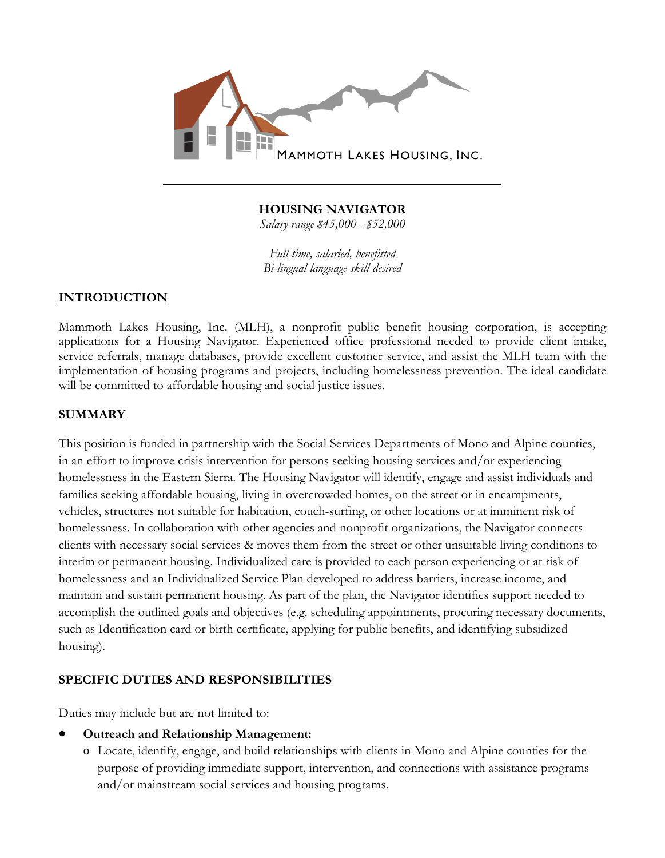

## **HOUSING NAVIGATOR**

*Salary range \$45,000 - \$52,000* 

*Full-time, salaried, benefitted Bi-lingual language skill desired*

### **INTRODUCTION**

Mammoth Lakes Housing, Inc. (MLH), a nonprofit public benefit housing corporation, is accepting applications for a Housing Navigator. Experienced office professional needed to provide client intake, service referrals, manage databases, provide excellent customer service, and assist the MLH team with the implementation of housing programs and projects, including homelessness prevention. The ideal candidate will be committed to affordable housing and social justice issues.

### **SUMMARY**

This position is funded in partnership with the Social Services Departments of Mono and Alpine counties, in an effort to improve crisis intervention for persons seeking housing services and/or experiencing homelessness in the Eastern Sierra. The Housing Navigator will identify, engage and assist individuals and families seeking affordable housing, living in overcrowded homes, on the street or in encampments, vehicles, structures not suitable for habitation, couch-surfing, or other locations or at imminent risk of homelessness. In collaboration with other agencies and nonprofit organizations, the Navigator connects clients with necessary social services & moves them from the street or other unsuitable living conditions to interim or permanent housing. Individualized care is provided to each person experiencing or at risk of homelessness and an Individualized Service Plan developed to address barriers, increase income, and maintain and sustain permanent housing. As part of the plan, the Navigator identifies support needed to accomplish the outlined goals and objectives (e.g. scheduling appointments, procuring necessary documents, such as Identification card or birth certificate, applying for public benefits, and identifying subsidized housing).

### **SPECIFIC DUTIES AND RESPONSIBILITIES**

Duties may include but are not limited to:

### **Outreach and Relationship Management:**

o Locate, identify, engage, and build relationships with clients in Mono and Alpine counties for the purpose of providing immediate support, intervention, and connections with assistance programs and/or mainstream social services and housing programs.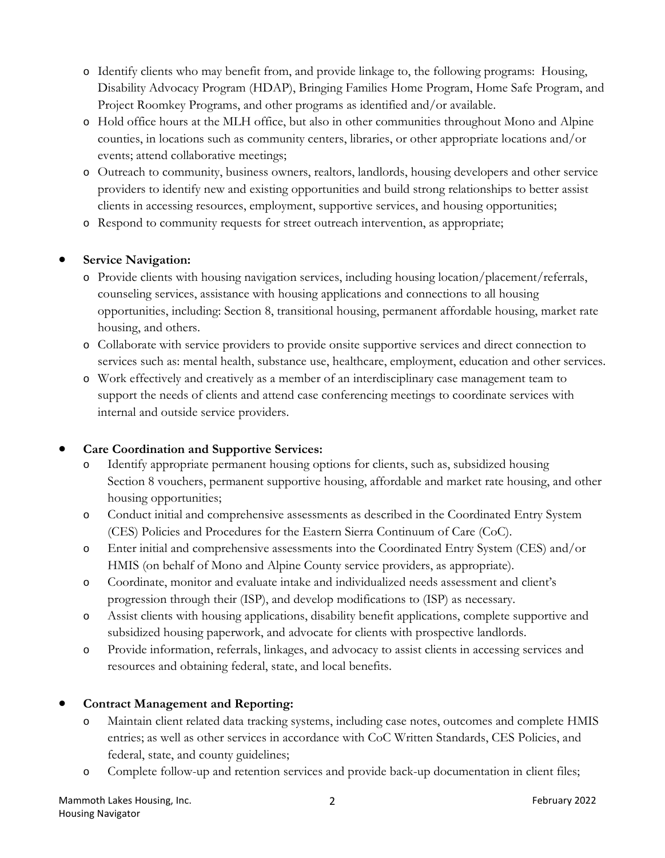- o Identify clients who may benefit from, and provide linkage to, the following programs: Housing, Disability Advocacy Program (HDAP), Bringing Families Home Program, Home Safe Program, and Project Roomkey Programs, and other programs as identified and/or available.
- o Hold office hours at the MLH office, but also in other communities throughout Mono and Alpine counties, in locations such as community centers, libraries, or other appropriate locations and/or events; attend collaborative meetings;
- o Outreach to community, business owners, realtors, landlords, housing developers and other service providers to identify new and existing opportunities and build strong relationships to better assist clients in accessing resources, employment, supportive services, and housing opportunities;
- o Respond to community requests for street outreach intervention, as appropriate;

# **Service Navigation:**

- o Provide clients with housing navigation services, including housing location/placement/referrals, counseling services, assistance with housing applications and connections to all housing opportunities, including: Section 8, transitional housing, permanent affordable housing, market rate housing, and others.
- o Collaborate with service providers to provide onsite supportive services and direct connection to services such as: mental health, substance use, healthcare, employment, education and other services.
- o Work effectively and creatively as a member of an interdisciplinary case management team to support the needs of clients and attend case conferencing meetings to coordinate services with internal and outside service providers.

### **Care Coordination and Supportive Services:**

- o Identify appropriate permanent housing options for clients, such as, subsidized housing Section 8 vouchers, permanent supportive housing, affordable and market rate housing, and other housing opportunities;
- o Conduct initial and comprehensive assessments as described in the Coordinated Entry System (CES) Policies and Procedures for the Eastern Sierra Continuum of Care (CoC).
- o Enter initial and comprehensive assessments into the Coordinated Entry System (CES) and/or HMIS (on behalf of Mono and Alpine County service providers, as appropriate).
- o Coordinate, monitor and evaluate intake and individualized needs assessment and client's progression through their (ISP), and develop modifications to (ISP) as necessary.
- o Assist clients with housing applications, disability benefit applications, complete supportive and subsidized housing paperwork, and advocate for clients with prospective landlords.
- o Provide information, referrals, linkages, and advocacy to assist clients in accessing services and resources and obtaining federal, state, and local benefits.

# **Contract Management and Reporting:**

- o Maintain client related data tracking systems, including case notes, outcomes and complete HMIS entries; as well as other services in accordance with CoC Written Standards, CES Policies, and federal, state, and county guidelines;
- o Complete follow-up and retention services and provide back-up documentation in client files;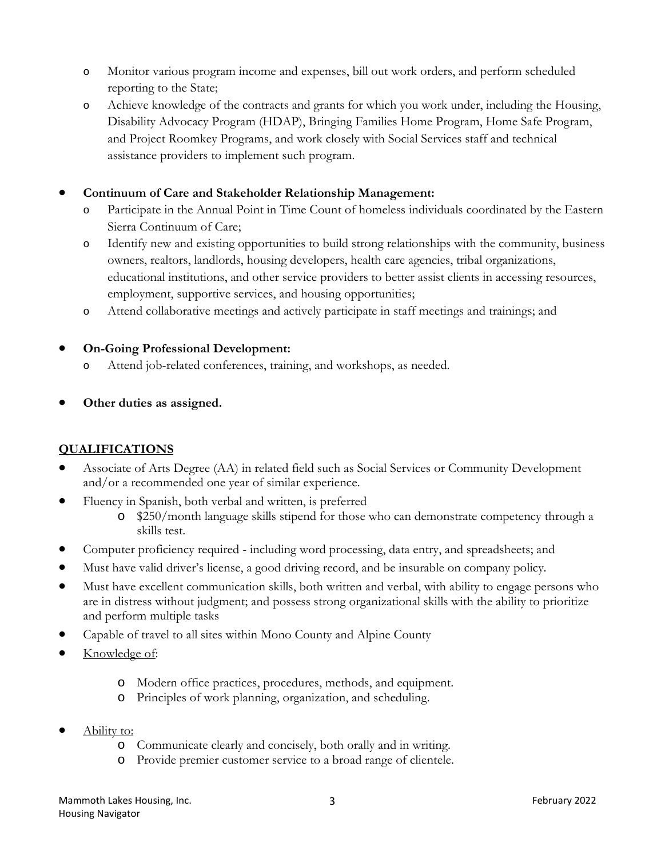- o Monitor various program income and expenses, bill out work orders, and perform scheduled reporting to the State;
- o Achieve knowledge of the contracts and grants for which you work under, including the Housing, Disability Advocacy Program (HDAP), Bringing Families Home Program, Home Safe Program, and Project Roomkey Programs, and work closely with Social Services staff and technical assistance providers to implement such program.

## **Continuum of Care and Stakeholder Relationship Management:**

- o Participate in the Annual Point in Time Count of homeless individuals coordinated by the Eastern Sierra Continuum of Care;
- o Identify new and existing opportunities to build strong relationships with the community, business owners, realtors, landlords, housing developers, health care agencies, tribal organizations, educational institutions, and other service providers to better assist clients in accessing resources, employment, supportive services, and housing opportunities;
- o Attend collaborative meetings and actively participate in staff meetings and trainings; and

### **On-Going Professional Development:**

- o Attend job-related conferences, training, and workshops, as needed.
- **Other duties as assigned.**

# **QUALIFICATIONS**

- Associate of Arts Degree (AA) in related field such as Social Services or Community Development and/or a recommended one year of similar experience.
- Fluency in Spanish, both verbal and written, is preferred
	- o \$250/month language skills stipend for those who can demonstrate competency through a skills test.
- Computer proficiency required including word processing, data entry, and spreadsheets; and
- Must have valid driver's license, a good driving record, and be insurable on company policy.
- Must have excellent communication skills, both written and verbal, with ability to engage persons who are in distress without judgment; and possess strong organizational skills with the ability to prioritize and perform multiple tasks
- Capable of travel to all sites within Mono County and Alpine County
- Knowledge of:
	- o Modern office practices, procedures, methods, and equipment.
	- o Principles of work planning, organization, and scheduling.
- Ability to:
	- o Communicate clearly and concisely, both orally and in writing.
	- o Provide premier customer service to a broad range of clientele.

Mammoth Lakes Housing, Inc. The Contract of the Contract of the Contract of the Contract of the Contract of the Contract of the Contract of the Contract of the Contract of the Contract of the Contract of the Contract of th Housing Navigator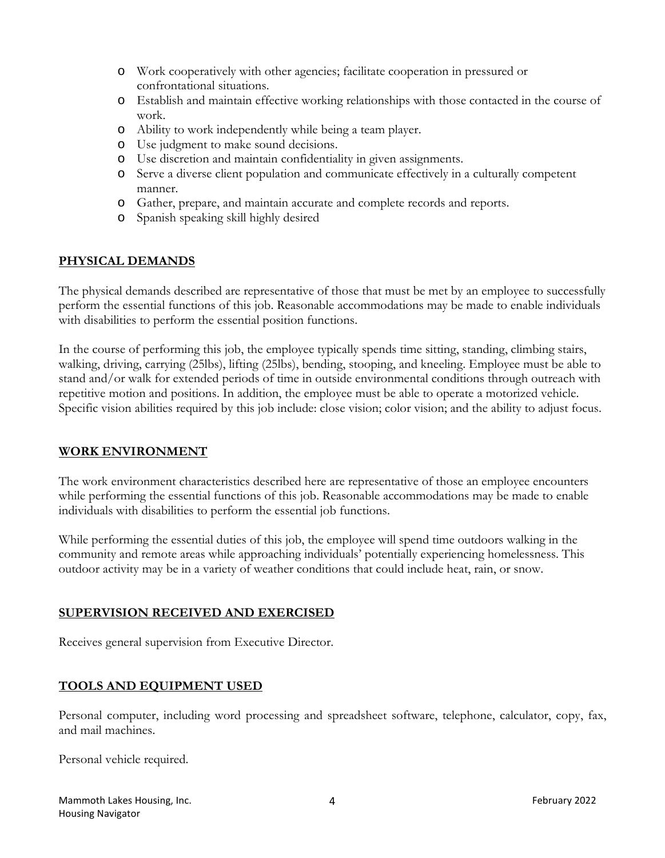- o Work cooperatively with other agencies; facilitate cooperation in pressured or confrontational situations.
- o Establish and maintain effective working relationships with those contacted in the course of work.
- o Ability to work independently while being a team player.
- o Use judgment to make sound decisions.
- o Use discretion and maintain confidentiality in given assignments.
- o Serve a diverse client population and communicate effectively in a culturally competent manner.
- o Gather, prepare, and maintain accurate and complete records and reports.
- o Spanish speaking skill highly desired

### **PHYSICAL DEMANDS**

The physical demands described are representative of those that must be met by an employee to successfully perform the essential functions of this job. Reasonable accommodations may be made to enable individuals with disabilities to perform the essential position functions.

In the course of performing this job, the employee typically spends time sitting, standing, climbing stairs, walking, driving, carrying (25lbs), lifting (25lbs), bending, stooping, and kneeling. Employee must be able to stand and/or walk for extended periods of time in outside environmental conditions through outreach with repetitive motion and positions. In addition, the employee must be able to operate a motorized vehicle. Specific vision abilities required by this job include: close vision; color vision; and the ability to adjust focus.

### **WORK ENVIRONMENT**

The work environment characteristics described here are representative of those an employee encounters while performing the essential functions of this job. Reasonable accommodations may be made to enable individuals with disabilities to perform the essential job functions.

While performing the essential duties of this job, the employee will spend time outdoors walking in the community and remote areas while approaching individuals' potentially experiencing homelessness. This outdoor activity may be in a variety of weather conditions that could include heat, rain, or snow.

### **SUPERVISION RECEIVED AND EXERCISED**

Receives general supervision from Executive Director.

### **TOOLS AND EQUIPMENT USED**

Personal computer, including word processing and spreadsheet software, telephone, calculator, copy, fax, and mail machines.

Personal vehicle required.